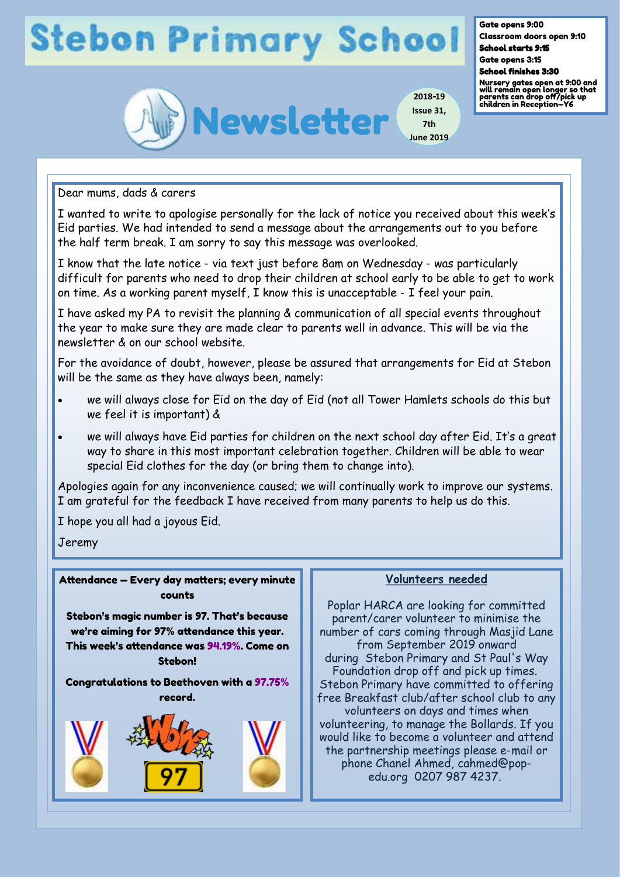# **Stebon Primary School**



**2018-19 Issue 31, 7th June 2019** Gate opens 9:00

Classroom doors open 9:10 School starts 9:15

Gate opens 3:15

School finishes 3:30

Nursery gates open at 9:00 and will remain open longer so that parents can drop off/pick up children in Reception—Y6

Dear mums, dads & carers

I wanted to write to apologise personally for the lack of notice you received about this week's Eid parties. We had intended to send a message about the arrangements out to you before the half term break. I am sorry to say this message was overlooked.

I know that the late notice - via text just before 8am on Wednesday - was particularly difficult for parents who need to drop their children at school early to be able to get to work on time. As a working parent myself, I know this is unacceptable - I feel your pain.

I have asked my PA to revisit the planning & communication of all special events throughout the year to make sure they are made clear to parents well in advance. This will be via the newsletter & on our school website.

For the avoidance of doubt, however, please be assured that arrangements for Eid at Stebon will be the same as they have always been, namely:

- we will always close for Eid on the day of Eid (not all Tower Hamlets schools do this but we feel it is important) &
- we will always have Eid parties for children on the next school day after Eid. It's a great way to share in this most important celebration together. Children will be able to wear special Eid clothes for the day (or bring them to change into).

Apologies again for any inconvenience caused; we will continually work to improve our systems. I am grateful for the feedback I have received from many parents to help us do this.

I hope you all had a joyous Eid.

Jeremy

Attendance — Every day matters; every minute counts

Stebon's magic number is 97. That's because we're aiming for 97% attendance this year. This week's attendance was 94.19%. Come on Stebon!

Congratulations to Beethoven with a 97.75% record.



#### **Volunteers needed**

Poplar HARCA are looking for committed parent/carer volunteer to minimise the number of cars coming through Masjid Lane from September 2019 onward during Stebon Primary and St Paul's Way Foundation drop off and pick up times. Stebon Primary have committed to offering free Breakfast club/after school club to any volunteers on days and times when volunteering, to manage the Bollards. If you would like to become a volunteer and attend the partnership meetings please e-mail or phone Chanel Ahmed, cahmed@popedu.org 0207 987 4237.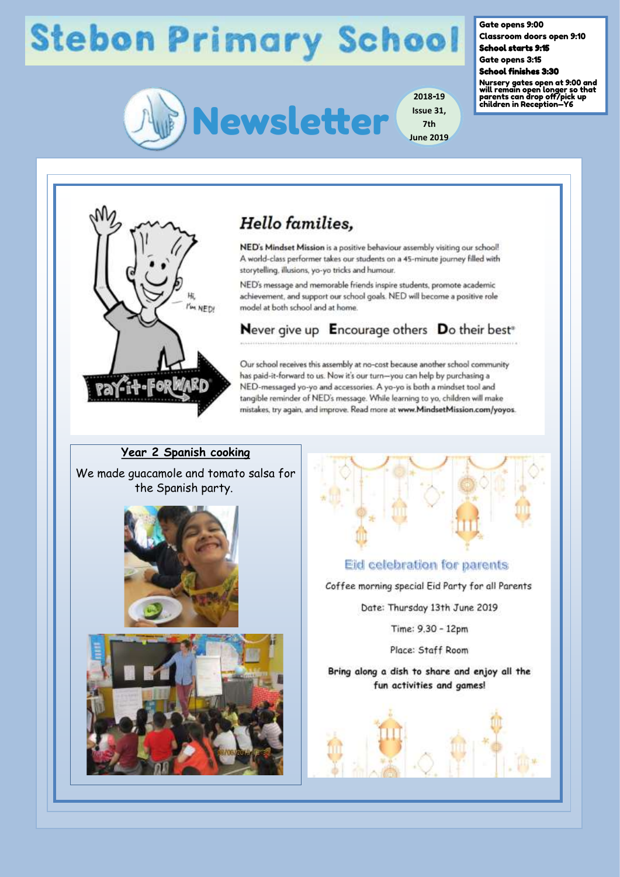# **Stebon Primary School**



Gate opens 9:00

Classroom doors open 9:10 School starts 9:15

Gate opens 3:15

School finishes 3:30

Nursery gates open at 9:00 and will remain open longer so that parents can drop off/pick up children in Reception—Y6



### **Hello** families.

NED's Mindset Mission is a positive behaviour assembly visiting our school! A world-class performer takes our students on a 45-minute journey filled with storytelling, illusions, yo-yo tricks and humour.

NED's message and memorable friends inspire students, promote academic achievement, and support our school goals. NED will become a positive role model at both school and at home.

Never give up Encourage others Do their best<sup>®</sup>

Our school receives this assembly at no-cost because another school community has paid-it-forward to us. Now it's our turn-you can help by purchasing a NED-messaged yo-yo and accessories. A yo-yo is both a mindset tool and tangible reminder of NED's message. While learning to yo, children will make mistakes, try again, and improve. Read more at www.MindsetMission.com/yoyos.

### **Year 2 Spanish cooking**

We made guacamole and tomato salsa for the Spanish party.







**2018-19**

**7th**

Eid celebration for parents

Coffee morning special Eid Party for all Parents

Date: Thursday 13th June 2019

Time: 9.30 - 12pm

Place: Staff Room

Bring along a dish to share and enjoy all the fun activities and games!